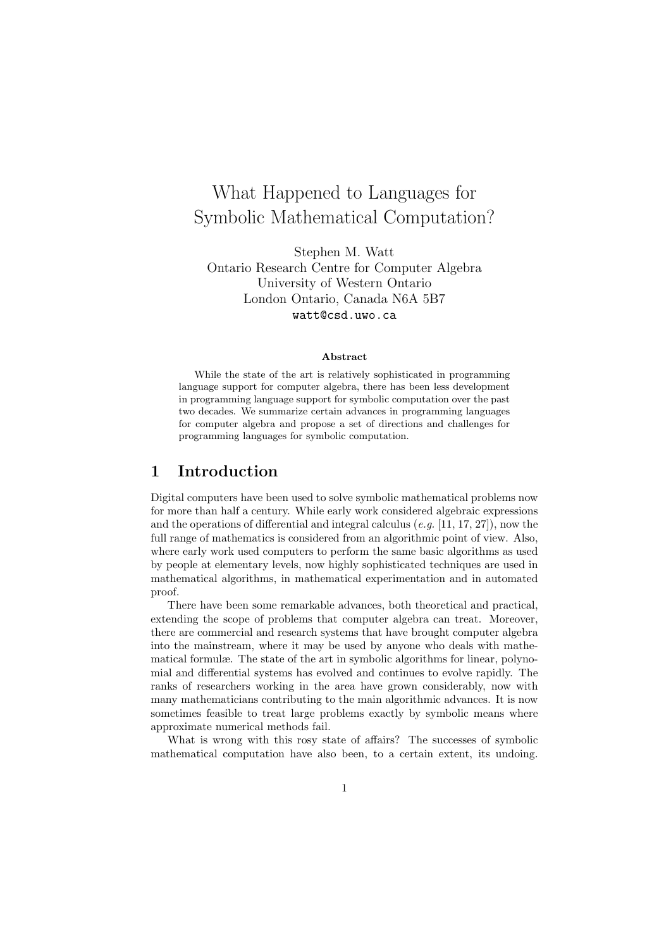# What Happened to Languages for Symbolic Mathematical Computation?

Stephen M. Watt Ontario Research Centre for Computer Algebra University of Western Ontario London Ontario, Canada N6A 5B7 watt@csd.uwo.ca

#### Abstract

While the state of the art is relatively sophisticated in programming language support for computer algebra, there has been less development in programming language support for symbolic computation over the past two decades. We summarize certain advances in programming languages for computer algebra and propose a set of directions and challenges for programming languages for symbolic computation.

# 1 Introduction

Digital computers have been used to solve symbolic mathematical problems now for more than half a century. While early work considered algebraic expressions and the operations of differential and integral calculus  $(e.g. [11, 17, 27])$ , now the full range of mathematics is considered from an algorithmic point of view. Also, where early work used computers to perform the same basic algorithms as used by people at elementary levels, now highly sophisticated techniques are used in mathematical algorithms, in mathematical experimentation and in automated proof.

There have been some remarkable advances, both theoretical and practical, extending the scope of problems that computer algebra can treat. Moreover, there are commercial and research systems that have brought computer algebra into the mainstream, where it may be used by anyone who deals with mathematical formulæ. The state of the art in symbolic algorithms for linear, polynomial and differential systems has evolved and continues to evolve rapidly. The ranks of researchers working in the area have grown considerably, now with many mathematicians contributing to the main algorithmic advances. It is now sometimes feasible to treat large problems exactly by symbolic means where approximate numerical methods fail.

What is wrong with this rosy state of affairs? The successes of symbolic mathematical computation have also been, to a certain extent, its undoing.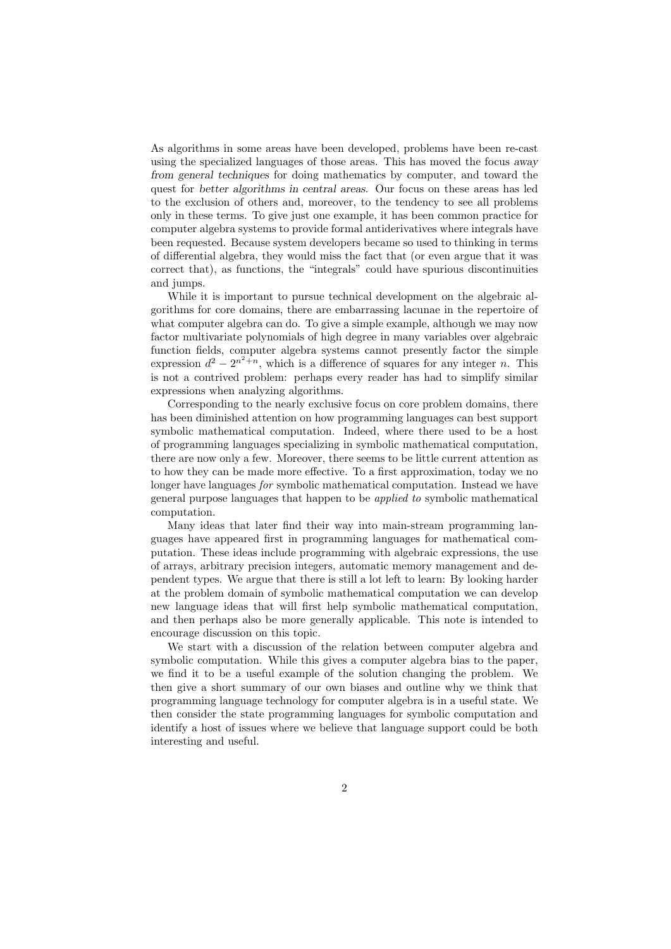As algorithms in some areas have been developed, problems have been re-cast using the specialized languages of those areas. This has moved the focus away from general techniques for doing mathematics by computer, and toward the quest for better algorithms in central areas. Our focus on these areas has led to the exclusion of others and, moreover, to the tendency to see all problems only in these terms. To give just one example, it has been common practice for computer algebra systems to provide formal antiderivatives where integrals have been requested. Because system developers became so used to thinking in terms of differential algebra, they would miss the fact that (or even argue that it was correct that), as functions, the "integrals" could have spurious discontinuities and jumps.

While it is important to pursue technical development on the algebraic algorithms for core domains, there are embarrassing lacunae in the repertoire of what computer algebra can do. To give a simple example, although we may now factor multivariate polynomials of high degree in many variables over algebraic function fields, computer algebra systems cannot presently factor the simple expression  $d^2 - 2^{n^2+n}$ , which is a difference of squares for any integer n. This is not a contrived problem: perhaps every reader has had to simplify similar expressions when analyzing algorithms.

Corresponding to the nearly exclusive focus on core problem domains, there has been diminished attention on how programming languages can best support symbolic mathematical computation. Indeed, where there used to be a host of programming languages specializing in symbolic mathematical computation, there are now only a few. Moreover, there seems to be little current attention as to how they can be made more effective. To a first approximation, today we no longer have languages for symbolic mathematical computation. Instead we have general purpose languages that happen to be applied to symbolic mathematical computation.

Many ideas that later find their way into main-stream programming languages have appeared first in programming languages for mathematical computation. These ideas include programming with algebraic expressions, the use of arrays, arbitrary precision integers, automatic memory management and dependent types. We argue that there is still a lot left to learn: By looking harder at the problem domain of symbolic mathematical computation we can develop new language ideas that will first help symbolic mathematical computation, and then perhaps also be more generally applicable. This note is intended to encourage discussion on this topic.

We start with a discussion of the relation between computer algebra and symbolic computation. While this gives a computer algebra bias to the paper, we find it to be a useful example of the solution changing the problem. We then give a short summary of our own biases and outline why we think that programming language technology for computer algebra is in a useful state. We then consider the state programming languages for symbolic computation and identify a host of issues where we believe that language support could be both interesting and useful.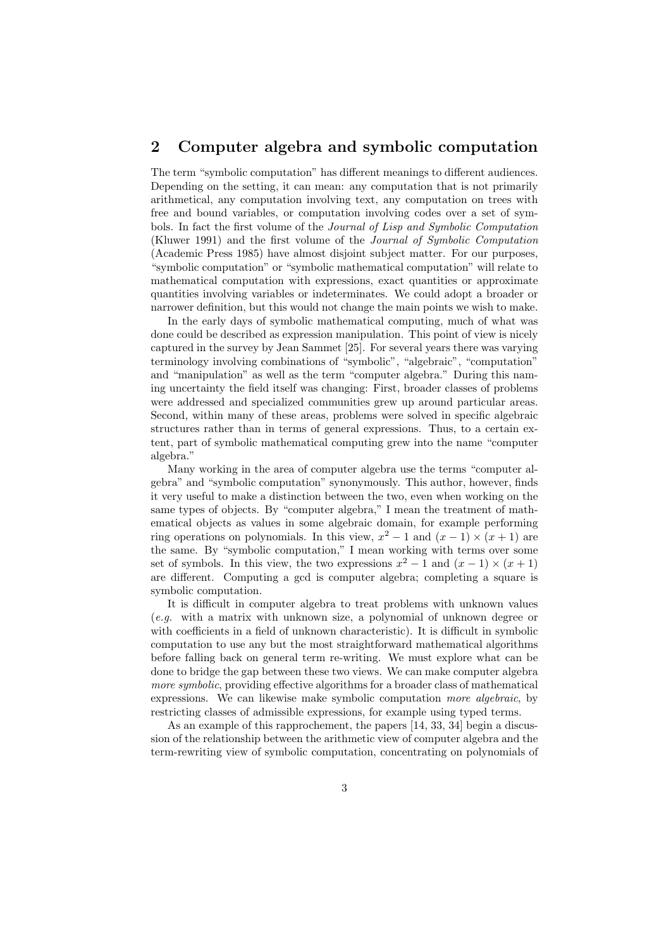### 2 Computer algebra and symbolic computation

The term "symbolic computation" has different meanings to different audiences. Depending on the setting, it can mean: any computation that is not primarily arithmetical, any computation involving text, any computation on trees with free and bound variables, or computation involving codes over a set of symbols. In fact the first volume of the Journal of Lisp and Symbolic Computation (Kluwer 1991) and the first volume of the Journal of Symbolic Computation (Academic Press 1985) have almost disjoint subject matter. For our purposes, "symbolic computation" or "symbolic mathematical computation" will relate to mathematical computation with expressions, exact quantities or approximate quantities involving variables or indeterminates. We could adopt a broader or narrower definition, but this would not change the main points we wish to make.

In the early days of symbolic mathematical computing, much of what was done could be described as expression manipulation. This point of view is nicely captured in the survey by Jean Sammet [25]. For several years there was varying terminology involving combinations of "symbolic", "algebraic", "computation" and "manipulation" as well as the term "computer algebra." During this naming uncertainty the field itself was changing: First, broader classes of problems were addressed and specialized communities grew up around particular areas. Second, within many of these areas, problems were solved in specific algebraic structures rather than in terms of general expressions. Thus, to a certain extent, part of symbolic mathematical computing grew into the name "computer algebra."

Many working in the area of computer algebra use the terms "computer algebra" and "symbolic computation" synonymously. This author, however, finds it very useful to make a distinction between the two, even when working on the same types of objects. By "computer algebra," I mean the treatment of mathematical objects as values in some algebraic domain, for example performing ring operations on polynomials. In this view,  $x^2 - 1$  and  $(x - 1) \times (x + 1)$  are the same. By "symbolic computation," I mean working with terms over some set of symbols. In this view, the two expressions  $x^2 - 1$  and  $(x - 1) \times (x + 1)$ are different. Computing a gcd is computer algebra; completing a square is symbolic computation.

It is difficult in computer algebra to treat problems with unknown values (e.g. with a matrix with unknown size, a polynomial of unknown degree or with coefficients in a field of unknown characteristic). It is difficult in symbolic computation to use any but the most straightforward mathematical algorithms before falling back on general term re-writing. We must explore what can be done to bridge the gap between these two views. We can make computer algebra more symbolic, providing effective algorithms for a broader class of mathematical expressions. We can likewise make symbolic computation more algebraic, by restricting classes of admissible expressions, for example using typed terms.

As an example of this rapprochement, the papers [14, 33, 34] begin a discussion of the relationship between the arithmetic view of computer algebra and the term-rewriting view of symbolic computation, concentrating on polynomials of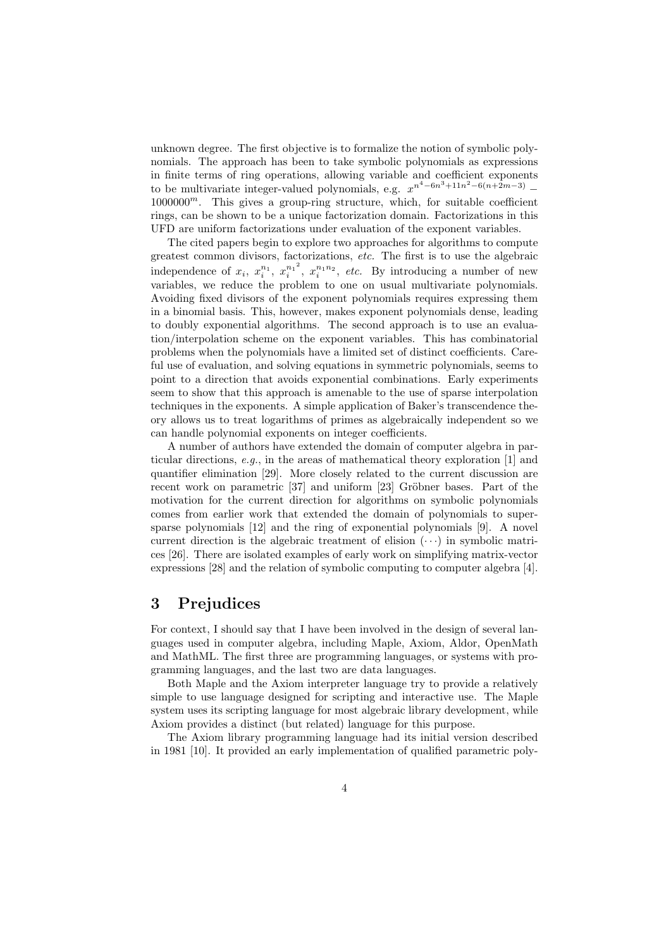unknown degree. The first objective is to formalize the notion of symbolic polynomials. The approach has been to take symbolic polynomials as expressions in finite terms of ring operations, allowing variable and coefficient exponents to be multivariate integer-valued polynomials, e.g.  $x^{n^4-6n^3+11n^2-6(n+2m-3)}$  $1000000^m$ . This gives a group-ring structure, which, for suitable coefficient rings, can be shown to be a unique factorization domain. Factorizations in this UFD are uniform factorizations under evaluation of the exponent variables.

The cited papers begin to explore two approaches for algorithms to compute greatest common divisors, factorizations, etc. The first is to use the algebraic independence of  $x_i$ ,  $x_i^{n_1}$ ,  $x_i^{n_1}$ <sup>2</sup>  $\int_{i}^{n_1^2}$ ,  $x_i^{n_1n_2}$ , *etc.* By introducing a number of new variables, we reduce the problem to one on usual multivariate polynomials. Avoiding fixed divisors of the exponent polynomials requires expressing them in a binomial basis. This, however, makes exponent polynomials dense, leading to doubly exponential algorithms. The second approach is to use an evaluation/interpolation scheme on the exponent variables. This has combinatorial problems when the polynomials have a limited set of distinct coefficients. Careful use of evaluation, and solving equations in symmetric polynomials, seems to point to a direction that avoids exponential combinations. Early experiments seem to show that this approach is amenable to the use of sparse interpolation techniques in the exponents. A simple application of Baker's transcendence theory allows us to treat logarithms of primes as algebraically independent so we can handle polynomial exponents on integer coefficients.

A number of authors have extended the domain of computer algebra in particular directions, e.g., in the areas of mathematical theory exploration [1] and quantifier elimination [29]. More closely related to the current discussion are recent work on parametric  $[37]$  and uniform  $[23]$  Gröbner bases. Part of the motivation for the current direction for algorithms on symbolic polynomials comes from earlier work that extended the domain of polynomials to supersparse polynomials [12] and the ring of exponential polynomials [9]. A novel current direction is the algebraic treatment of elision  $(\cdots)$  in symbolic matrices [26]. There are isolated examples of early work on simplifying matrix-vector expressions [28] and the relation of symbolic computing to computer algebra [4].

# 3 Prejudices

For context, I should say that I have been involved in the design of several languages used in computer algebra, including Maple, Axiom, Aldor, OpenMath and MathML. The first three are programming languages, or systems with programming languages, and the last two are data languages.

Both Maple and the Axiom interpreter language try to provide a relatively simple to use language designed for scripting and interactive use. The Maple system uses its scripting language for most algebraic library development, while Axiom provides a distinct (but related) language for this purpose.

The Axiom library programming language had its initial version described in 1981 [10]. It provided an early implementation of qualified parametric poly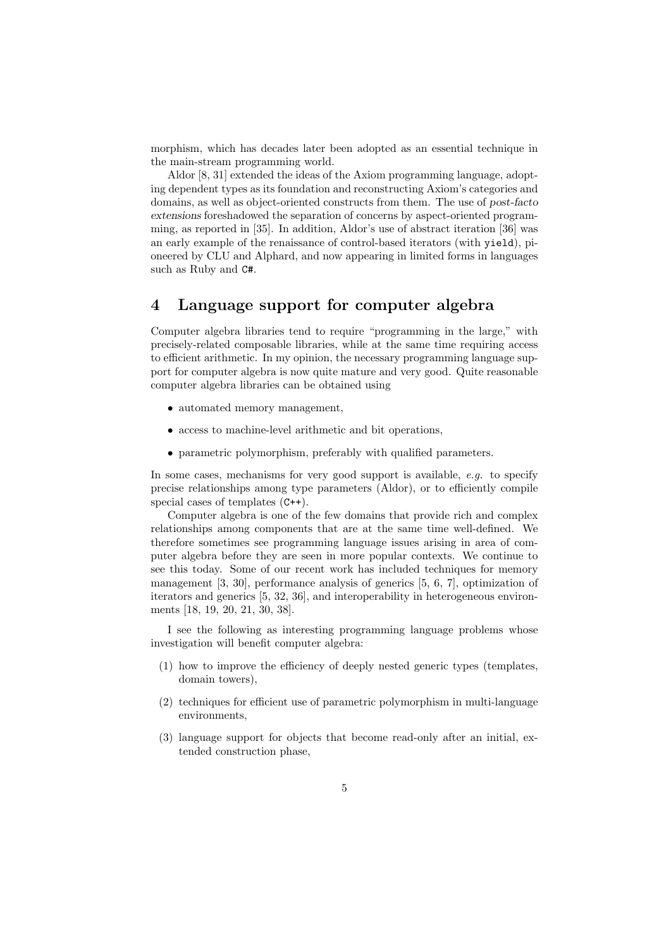morphism, which has decades later been adopted as an essential technique in the main-stream programming world.

Aldor [8, 31] extended the ideas of the Axiom programming language, adopting dependent types as its foundation and reconstructing Axiom's categories and domains, as well as object-oriented constructs from them. The use of post-facto extensions foreshadowed the separation of concerns by aspect-oriented programming, as reported in [35]. In addition, Aldor's use of abstract iteration [36] was an early example of the renaissance of control-based iterators (with yield), pioneered by CLU and Alphard, and now appearing in limited forms in languages such as Ruby and C#.

## 4 Language support for computer algebra

Computer algebra libraries tend to require "programming in the large," with precisely-related composable libraries, while at the same time requiring access to efficient arithmetic. In my opinion, the necessary programming language support for computer algebra is now quite mature and very good. Quite reasonable computer algebra libraries can be obtained using

- automated memory management,
- access to machine-level arithmetic and bit operations,
- parametric polymorphism, preferably with qualified parameters.

In some cases, mechanisms for very good support is available,  $e.g.$  to specify precise relationships among type parameters (Aldor), or to efficiently compile special cases of templates (C++).

Computer algebra is one of the few domains that provide rich and complex relationships among components that are at the same time well-defined. We therefore sometimes see programming language issues arising in area of computer algebra before they are seen in more popular contexts. We continue to see this today. Some of our recent work has included techniques for memory management [3, 30], performance analysis of generics [5, 6, 7], optimization of iterators and generics [5, 32, 36], and interoperability in heterogeneous environments [18, 19, 20, 21, 30, 38].

I see the following as interesting programming language problems whose investigation will benefit computer algebra:

- (1) how to improve the efficiency of deeply nested generic types (templates, domain towers),
- (2) techniques for efficient use of parametric polymorphism in multi-language environments,
- (3) language support for objects that become read-only after an initial, extended construction phase,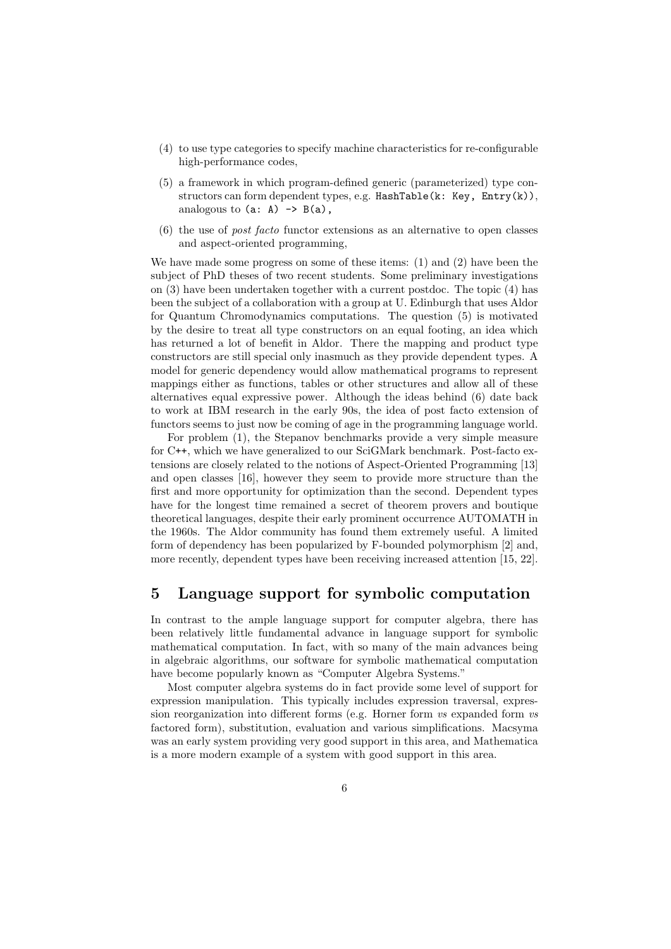- (4) to use type categories to specify machine characteristics for re-configurable high-performance codes,
- (5) a framework in which program-defined generic (parameterized) type constructors can form dependent types, e.g. HashTable(k: Key, Entry(k)), analogous to  $(a: A) \rightarrow B(a)$ ,
- (6) the use of post facto functor extensions as an alternative to open classes and aspect-oriented programming,

We have made some progress on some of these items:  $(1)$  and  $(2)$  have been the subject of PhD theses of two recent students. Some preliminary investigations on (3) have been undertaken together with a current postdoc. The topic (4) has been the subject of a collaboration with a group at U. Edinburgh that uses Aldor for Quantum Chromodynamics computations. The question (5) is motivated by the desire to treat all type constructors on an equal footing, an idea which has returned a lot of benefit in Aldor. There the mapping and product type constructors are still special only inasmuch as they provide dependent types. A model for generic dependency would allow mathematical programs to represent mappings either as functions, tables or other structures and allow all of these alternatives equal expressive power. Although the ideas behind (6) date back to work at IBM research in the early 90s, the idea of post facto extension of functors seems to just now be coming of age in the programming language world.

For problem (1), the Stepanov benchmarks provide a very simple measure for C++, which we have generalized to our SciGMark benchmark. Post-facto extensions are closely related to the notions of Aspect-Oriented Programming [13] and open classes [16], however they seem to provide more structure than the first and more opportunity for optimization than the second. Dependent types have for the longest time remained a secret of theorem provers and boutique theoretical languages, despite their early prominent occurrence AUTOMATH in the 1960s. The Aldor community has found them extremely useful. A limited form of dependency has been popularized by F-bounded polymorphism [2] and, more recently, dependent types have been receiving increased attention [15, 22].

#### 5 Language support for symbolic computation

In contrast to the ample language support for computer algebra, there has been relatively little fundamental advance in language support for symbolic mathematical computation. In fact, with so many of the main advances being in algebraic algorithms, our software for symbolic mathematical computation have become popularly known as "Computer Algebra Systems."

Most computer algebra systems do in fact provide some level of support for expression manipulation. This typically includes expression traversal, expression reorganization into different forms (e.g. Horner form vs expanded form vs factored form), substitution, evaluation and various simplifications. Macsyma was an early system providing very good support in this area, and Mathematica is a more modern example of a system with good support in this area.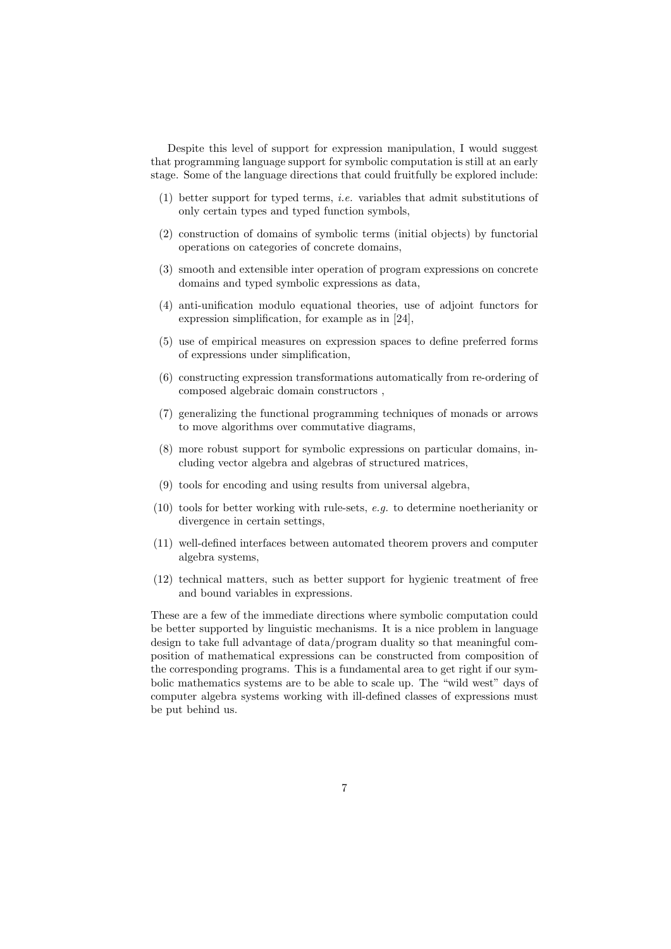Despite this level of support for expression manipulation, I would suggest that programming language support for symbolic computation is still at an early stage. Some of the language directions that could fruitfully be explored include:

- (1) better support for typed terms, i.e. variables that admit substitutions of only certain types and typed function symbols,
- (2) construction of domains of symbolic terms (initial objects) by functorial operations on categories of concrete domains,
- (3) smooth and extensible inter operation of program expressions on concrete domains and typed symbolic expressions as data,
- (4) anti-unification modulo equational theories, use of adjoint functors for expression simplification, for example as in [24],
- (5) use of empirical measures on expression spaces to define preferred forms of expressions under simplification,
- (6) constructing expression transformations automatically from re-ordering of composed algebraic domain constructors ,
- (7) generalizing the functional programming techniques of monads or arrows to move algorithms over commutative diagrams,
- (8) more robust support for symbolic expressions on particular domains, including vector algebra and algebras of structured matrices,
- (9) tools for encoding and using results from universal algebra,
- (10) tools for better working with rule-sets, e.g. to determine noetherianity or divergence in certain settings,
- (11) well-defined interfaces between automated theorem provers and computer algebra systems,
- (12) technical matters, such as better support for hygienic treatment of free and bound variables in expressions.

These are a few of the immediate directions where symbolic computation could be better supported by linguistic mechanisms. It is a nice problem in language design to take full advantage of data/program duality so that meaningful composition of mathematical expressions can be constructed from composition of the corresponding programs. This is a fundamental area to get right if our symbolic mathematics systems are to be able to scale up. The "wild west" days of computer algebra systems working with ill-defined classes of expressions must be put behind us.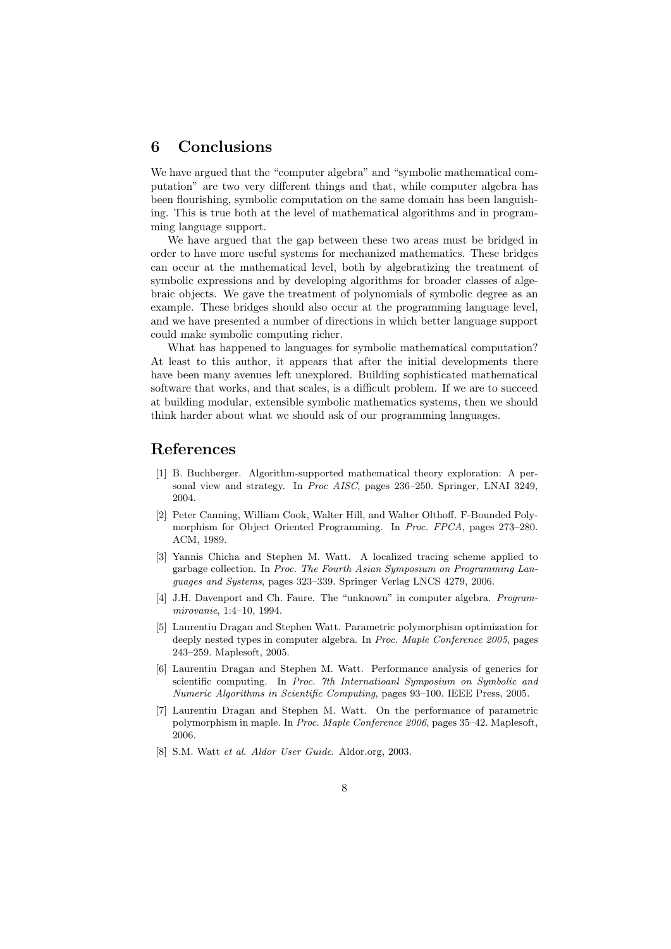# 6 Conclusions

We have argued that the "computer algebra" and "symbolic mathematical computation" are two very different things and that, while computer algebra has been flourishing, symbolic computation on the same domain has been languishing. This is true both at the level of mathematical algorithms and in programming language support.

We have argued that the gap between these two areas must be bridged in order to have more useful systems for mechanized mathematics. These bridges can occur at the mathematical level, both by algebratizing the treatment of symbolic expressions and by developing algorithms for broader classes of algebraic objects. We gave the treatment of polynomials of symbolic degree as an example. These bridges should also occur at the programming language level, and we have presented a number of directions in which better language support could make symbolic computing richer.

What has happened to languages for symbolic mathematical computation? At least to this author, it appears that after the initial developments there have been many avenues left unexplored. Building sophisticated mathematical software that works, and that scales, is a difficult problem. If we are to succeed at building modular, extensible symbolic mathematics systems, then we should think harder about what we should ask of our programming languages.

#### References

- [1] B. Buchberger. Algorithm-supported mathematical theory exploration: A personal view and strategy. In Proc AISC, pages 236–250. Springer, LNAI 3249, 2004.
- [2] Peter Canning, William Cook, Walter Hill, and Walter Olthoff. F-Bounded Polymorphism for Object Oriented Programming. In Proc. FPCA, pages 273–280. ACM, 1989.
- [3] Yannis Chicha and Stephen M. Watt. A localized tracing scheme applied to garbage collection. In Proc. The Fourth Asian Symposium on Programming Languages and Systems, pages 323–339. Springer Verlag LNCS 4279, 2006.
- [4] J.H. Davenport and Ch. Faure. The "unknown" in computer algebra. Programmirovanie, 1:4–10, 1994.
- [5] Laurentiu Dragan and Stephen Watt. Parametric polymorphism optimization for deeply nested types in computer algebra. In Proc. Maple Conference 2005, pages 243–259. Maplesoft, 2005.
- [6] Laurentiu Dragan and Stephen M. Watt. Performance analysis of generics for scientific computing. In Proc. 7th Internatioanl Symposium on Symbolic and Numeric Algorithms in Scientific Computing, pages 93–100. IEEE Press, 2005.
- [7] Laurentiu Dragan and Stephen M. Watt. On the performance of parametric polymorphism in maple. In Proc. Maple Conference 2006, pages 35–42. Maplesoft, 2006.
- [8] S.M. Watt et al. Aldor User Guide. Aldor.org, 2003.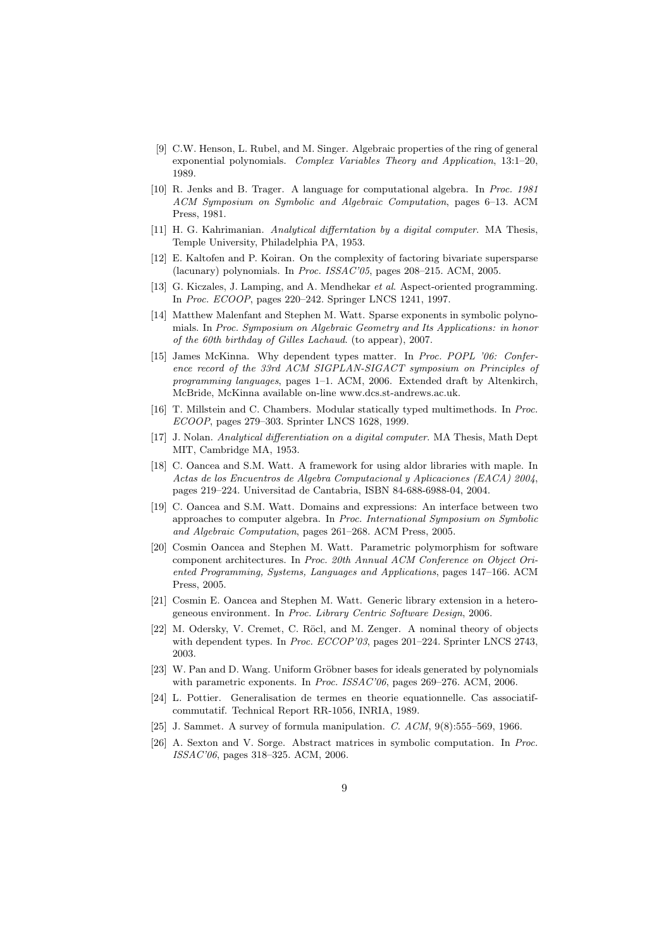- [9] C.W. Henson, L. Rubel, and M. Singer. Algebraic properties of the ring of general exponential polynomials. Complex Variables Theory and Application, 13:1–20, 1989.
- [10] R. Jenks and B. Trager. A language for computational algebra. In Proc. 1981 ACM Symposium on Symbolic and Algebraic Computation, pages 6–13. ACM Press, 1981.
- [11] H. G. Kahrimanian. Analytical differntation by a digital computer. MA Thesis, Temple University, Philadelphia PA, 1953.
- [12] E. Kaltofen and P. Koiran. On the complexity of factoring bivariate supersparse (lacunary) polynomials. In Proc. ISSAC'05, pages 208–215. ACM, 2005.
- [13] G. Kiczales, J. Lamping, and A. Mendhekar et al. Aspect-oriented programming. In Proc. ECOOP, pages 220–242. Springer LNCS 1241, 1997.
- [14] Matthew Malenfant and Stephen M. Watt. Sparse exponents in symbolic polynomials. In Proc. Symposium on Algebraic Geometry and Its Applications: in honor of the 60th birthday of Gilles Lachaud. (to appear), 2007.
- [15] James McKinna. Why dependent types matter. In Proc. POPL '06: Conference record of the 33rd ACM SIGPLAN-SIGACT symposium on Principles of programming languages, pages 1–1. ACM, 2006. Extended draft by Altenkirch, McBride, McKinna available on-line www.dcs.st-andrews.ac.uk.
- [16] T. Millstein and C. Chambers. Modular statically typed multimethods. In Proc. ECOOP, pages 279–303. Sprinter LNCS 1628, 1999.
- [17] J. Nolan. Analytical differentiation on a digital computer. MA Thesis, Math Dept MIT, Cambridge MA, 1953.
- [18] C. Oancea and S.M. Watt. A framework for using aldor libraries with maple. In Actas de los Encuentros de Algebra Computacional y Aplicaciones (EACA) 2004, pages 219–224. Universitad de Cantabria, ISBN 84-688-6988-04, 2004.
- [19] C. Oancea and S.M. Watt. Domains and expressions: An interface between two approaches to computer algebra. In Proc. International Symposium on Symbolic and Algebraic Computation, pages 261–268. ACM Press, 2005.
- [20] Cosmin Oancea and Stephen M. Watt. Parametric polymorphism for software component architectures. In Proc. 20th Annual ACM Conference on Object Oriented Programming, Systems, Languages and Applications, pages 147–166. ACM Press, 2005.
- [21] Cosmin E. Oancea and Stephen M. Watt. Generic library extension in a heterogeneous environment. In Proc. Library Centric Software Design, 2006.
- [22] M. Odersky, V. Cremet, C. Röcl, and M. Zenger. A nominal theory of objects with dependent types. In Proc. ECCOP'03, pages 201–224. Sprinter LNCS 2743, 2003.
- [23] W. Pan and D. Wang. Uniform Gröbner bases for ideals generated by polynomials with parametric exponents. In Proc. ISSAC'06, pages 269–276. ACM, 2006.
- [24] L. Pottier. Generalisation de termes en theorie equationnelle. Cas associatifcommutatif. Technical Report RR-1056, INRIA, 1989.
- [25] J. Sammet. A survey of formula manipulation. C. ACM, 9(8):555–569, 1966.
- [26] A. Sexton and V. Sorge. Abstract matrices in symbolic computation. In Proc. ISSAC'06, pages 318–325. ACM, 2006.